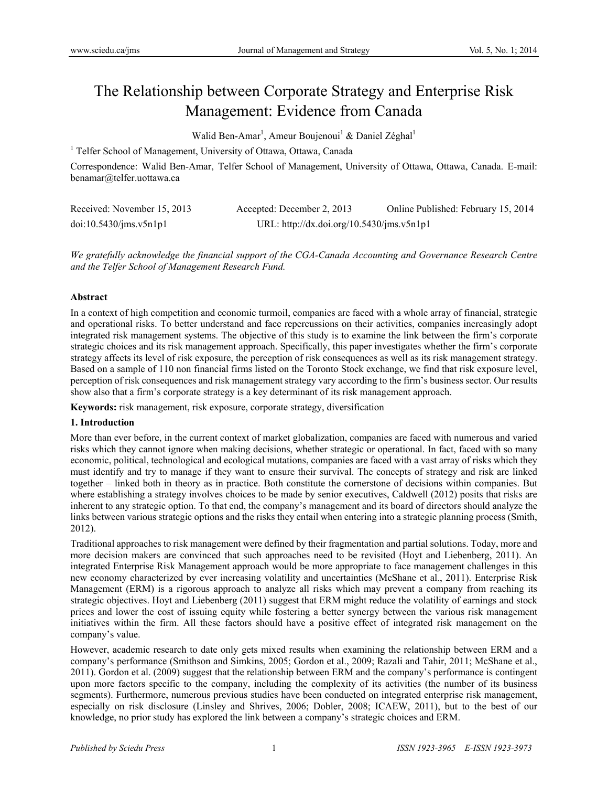# The Relationship between Corporate Strategy and Enterprise Risk Management: Evidence from Canada

Walid Ben-Amar<sup>1</sup>, Ameur Boujenoui<sup>1</sup> & Daniel Zéghal<sup>1</sup>

<sup>1</sup> Telfer School of Management, University of Ottawa, Ottawa, Canada

Correspondence: Walid Ben-Amar, Telfer School of Management, University of Ottawa, Ottawa, Canada. E-mail: benamar@telfer.uottawa.ca

| Received: November 15, 2013 | Accepted: December 2, 2013                | Online Published: February 15, 2014 |
|-----------------------------|-------------------------------------------|-------------------------------------|
| doi:10.5430/ims.v5n1p1      | URL: http://dx.doi.org/10.5430/jms.v5n1p1 |                                     |

*We gratefully acknowledge the financial support of the CGA-Canada Accounting and Governance Research Centre and the Telfer School of Management Research Fund.* 

## **Abstract**

In a context of high competition and economic turmoil, companies are faced with a whole array of financial, strategic and operational risks. To better understand and face repercussions on their activities, companies increasingly adopt integrated risk management systems. The objective of this study is to examine the link between the firm's corporate strategic choices and its risk management approach. Specifically, this paper investigates whether the firm's corporate strategy affects its level of risk exposure, the perception of risk consequences as well as its risk management strategy. Based on a sample of 110 non financial firms listed on the Toronto Stock exchange, we find that risk exposure level, perception of risk consequences and risk management strategy vary according to the firm's business sector. Our results show also that a firm's corporate strategy is a key determinant of its risk management approach.

**Keywords:** risk management, risk exposure, corporate strategy, diversification

#### **1. Introduction**

More than ever before, in the current context of market globalization, companies are faced with numerous and varied risks which they cannot ignore when making decisions, whether strategic or operational. In fact, faced with so many economic, political, technological and ecological mutations, companies are faced with a vast array of risks which they must identify and try to manage if they want to ensure their survival. The concepts of strategy and risk are linked together – linked both in theory as in practice. Both constitute the cornerstone of decisions within companies. But where establishing a strategy involves choices to be made by senior executives, Caldwell (2012) posits that risks are inherent to any strategic option. To that end, the company's management and its board of directors should analyze the links between various strategic options and the risks they entail when entering into a strategic planning process (Smith, 2012).

Traditional approaches to risk management were defined by their fragmentation and partial solutions. Today, more and more decision makers are convinced that such approaches need to be revisited (Hoyt and Liebenberg, 2011). An integrated Enterprise Risk Management approach would be more appropriate to face management challenges in this new economy characterized by ever increasing volatility and uncertainties (McShane et al., 2011). Enterprise Risk Management (ERM) is a rigorous approach to analyze all risks which may prevent a company from reaching its strategic objectives. Hoyt and Liebenberg (2011) suggest that ERM might reduce the volatility of earnings and stock prices and lower the cost of issuing equity while fostering a better synergy between the various risk management initiatives within the firm. All these factors should have a positive effect of integrated risk management on the company's value.

However, academic research to date only gets mixed results when examining the relationship between ERM and a company's performance (Smithson and Simkins, 2005; Gordon et al., 2009; Razali and Tahir, 2011; McShane et al., 2011). Gordon et al. (2009) suggest that the relationship between ERM and the company's performance is contingent upon more factors specific to the company, including the complexity of its activities (the number of its business segments). Furthermore, numerous previous studies have been conducted on integrated enterprise risk management, especially on risk disclosure (Linsley and Shrives, 2006; Dobler, 2008; ICAEW, 2011), but to the best of our knowledge, no prior study has explored the link between a company's strategic choices and ERM.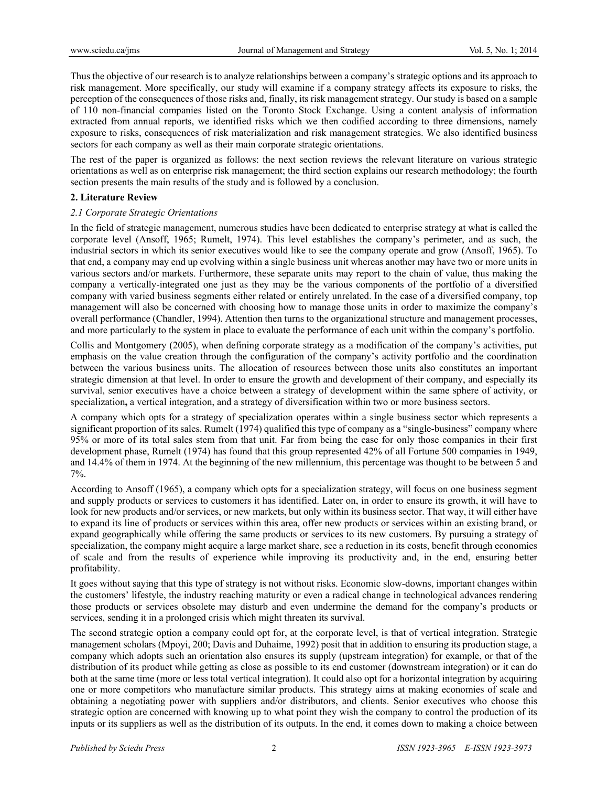Thus the objective of our research is to analyze relationships between a company's strategic options and its approach to risk management. More specifically, our study will examine if a company strategy affects its exposure to risks, the perception of the consequences of those risks and, finally, its risk management strategy. Our study is based on a sample of 110 non-financial companies listed on the Toronto Stock Exchange. Using a content analysis of information extracted from annual reports, we identified risks which we then codified according to three dimensions, namely exposure to risks, consequences of risk materialization and risk management strategies. We also identified business sectors for each company as well as their main corporate strategic orientations.

The rest of the paper is organized as follows: the next section reviews the relevant literature on various strategic orientations as well as on enterprise risk management; the third section explains our research methodology; the fourth section presents the main results of the study and is followed by a conclusion.

## **2. Literature Review**

#### *2.1 Corporate Strategic Orientations*

In the field of strategic management, numerous studies have been dedicated to enterprise strategy at what is called the corporate level (Ansoff, 1965; Rumelt, 1974). This level establishes the company's perimeter, and as such, the industrial sectors in which its senior executives would like to see the company operate and grow (Ansoff, 1965). To that end, a company may end up evolving within a single business unit whereas another may have two or more units in various sectors and/or markets. Furthermore, these separate units may report to the chain of value, thus making the company a vertically-integrated one just as they may be the various components of the portfolio of a diversified company with varied business segments either related or entirely unrelated. In the case of a diversified company, top management will also be concerned with choosing how to manage those units in order to maximize the company's overall performance (Chandler, 1994). Attention then turns to the organizational structure and management processes, and more particularly to the system in place to evaluate the performance of each unit within the company's portfolio.

Collis and Montgomery (2005), when defining corporate strategy as a modification of the company's activities, put emphasis on the value creation through the configuration of the company's activity portfolio and the coordination between the various business units. The allocation of resources between those units also constitutes an important strategic dimension at that level. In order to ensure the growth and development of their company, and especially its survival, senior executives have a choice between a strategy of development within the same sphere of activity, or specialization**,** a vertical integration, and a strategy of diversification within two or more business sectors.

A company which opts for a strategy of specialization operates within a single business sector which represents a significant proportion of its sales. Rumelt (1974) qualified this type of company as a "single-business" company where 95% or more of its total sales stem from that unit. Far from being the case for only those companies in their first development phase, Rumelt (1974) has found that this group represented 42% of all Fortune 500 companies in 1949, and 14.4% of them in 1974. At the beginning of the new millennium, this percentage was thought to be between 5 and 7%.

According to Ansoff (1965), a company which opts for a specialization strategy, will focus on one business segment and supply products or services to customers it has identified. Later on, in order to ensure its growth, it will have to look for new products and/or services, or new markets, but only within its business sector. That way, it will either have to expand its line of products or services within this area, offer new products or services within an existing brand, or expand geographically while offering the same products or services to its new customers. By pursuing a strategy of specialization, the company might acquire a large market share, see a reduction in its costs, benefit through economies of scale and from the results of experience while improving its productivity and, in the end, ensuring better profitability.

It goes without saying that this type of strategy is not without risks. Economic slow-downs, important changes within the customers' lifestyle, the industry reaching maturity or even a radical change in technological advances rendering those products or services obsolete may disturb and even undermine the demand for the company's products or services, sending it in a prolonged crisis which might threaten its survival.

The second strategic option a company could opt for, at the corporate level, is that of vertical integration. Strategic management scholars (Mpoyi, 200; Davis and Duhaime, 1992) posit that in addition to ensuring its production stage, a company which adopts such an orientation also ensures its supply (upstream integration) for example, or that of the distribution of its product while getting as close as possible to its end customer (downstream integration) or it can do both at the same time (more or less total vertical integration). It could also opt for a horizontal integration by acquiring one or more competitors who manufacture similar products. This strategy aims at making economies of scale and obtaining a negotiating power with suppliers and/or distributors, and clients. Senior executives who choose this strategic option are concerned with knowing up to what point they wish the company to control the production of its inputs or its suppliers as well as the distribution of its outputs. In the end, it comes down to making a choice between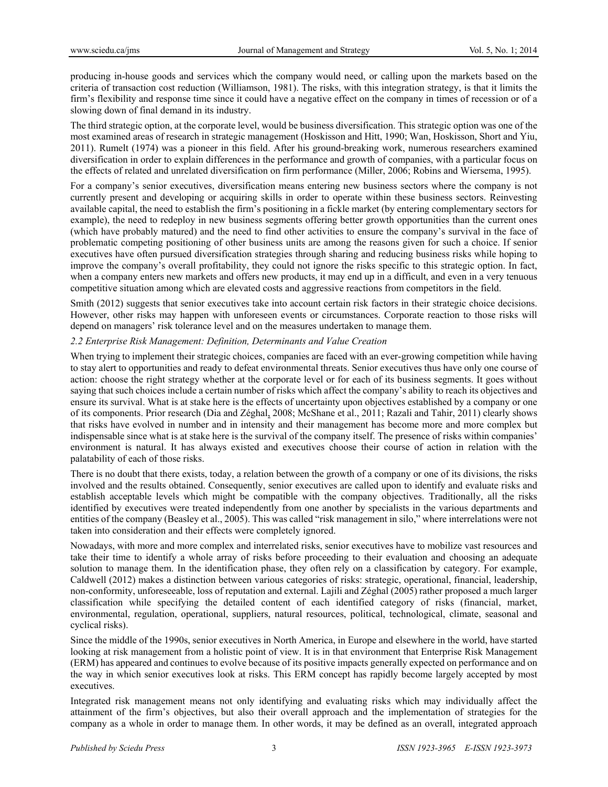producing in-house goods and services which the company would need, or calling upon the markets based on the criteria of transaction cost reduction (Williamson, 1981). The risks, with this integration strategy, is that it limits the firm's flexibility and response time since it could have a negative effect on the company in times of recession or of a slowing down of final demand in its industry.

The third strategic option, at the corporate level, would be business diversification. This strategic option was one of the most examined areas of research in strategic management (Hoskisson and Hitt, 1990; Wan, Hoskisson, Short and Yiu, 2011). Rumelt (1974) was a pioneer in this field. After his ground-breaking work, numerous researchers examined diversification in order to explain differences in the performance and growth of companies, with a particular focus on the effects of related and unrelated diversification on firm performance (Miller, 2006; Robins and Wiersema, 1995).

For a company's senior executives, diversification means entering new business sectors where the company is not currently present and developing or acquiring skills in order to operate within these business sectors. Reinvesting available capital, the need to establish the firm's positioning in a fickle market (by entering complementary sectors for example), the need to redeploy in new business segments offering better growth opportunities than the current ones (which have probably matured) and the need to find other activities to ensure the company's survival in the face of problematic competing positioning of other business units are among the reasons given for such a choice. If senior executives have often pursued diversification strategies through sharing and reducing business risks while hoping to improve the company's overall profitability, they could not ignore the risks specific to this strategic option. In fact, when a company enters new markets and offers new products, it may end up in a difficult, and even in a very tenuous competitive situation among which are elevated costs and aggressive reactions from competitors in the field.

Smith (2012) suggests that senior executives take into account certain risk factors in their strategic choice decisions. However, other risks may happen with unforeseen events or circumstances. Corporate reaction to those risks will depend on managers' risk tolerance level and on the measures undertaken to manage them.

## *2.2 Enterprise Risk Management: Definition, Determinants and Value Creation*

When trying to implement their strategic choices, companies are faced with an ever-growing competition while having to stay alert to opportunities and ready to defeat environmental threats. Senior executives thus have only one course of action: choose the right strategy whether at the corporate level or for each of its business segments. It goes without saying that such choices include a certain number of risks which affect the company's ability to reach its objectives and ensure its survival. What is at stake here is the effects of uncertainty upon objectives established by a company or one of its components. Prior research (Dia and Zéghal, 2008; McShane et al., 2011; Razali and Tahir, 2011) clearly shows that risks have evolved in number and in intensity and their management has become more and more complex but indispensable since what is at stake here is the survival of the company itself. The presence of risks within companies' environment is natural. It has always existed and executives choose their course of action in relation with the palatability of each of those risks.

There is no doubt that there exists, today, a relation between the growth of a company or one of its divisions, the risks involved and the results obtained. Consequently, senior executives are called upon to identify and evaluate risks and establish acceptable levels which might be compatible with the company objectives. Traditionally, all the risks identified by executives were treated independently from one another by specialists in the various departments and entities of the company (Beasley et al., 2005). This was called "risk management in silo," where interrelations were not taken into consideration and their effects were completely ignored.

Nowadays, with more and more complex and interrelated risks, senior executives have to mobilize vast resources and take their time to identify a whole array of risks before proceeding to their evaluation and choosing an adequate solution to manage them. In the identification phase, they often rely on a classification by category. For example, Caldwell (2012) makes a distinction between various categories of risks: strategic, operational, financial, leadership, non-conformity, unforeseeable, loss of reputation and external. Lajili and Zéghal (2005) rather proposed a much larger classification while specifying the detailed content of each identified category of risks (financial, market, environmental, regulation, operational, suppliers, natural resources, political, technological, climate, seasonal and cyclical risks).

Since the middle of the 1990s, senior executives in North America, in Europe and elsewhere in the world, have started looking at risk management from a holistic point of view. It is in that environment that Enterprise Risk Management (ERM) has appeared and continues to evolve because of its positive impacts generally expected on performance and on the way in which senior executives look at risks. This ERM concept has rapidly become largely accepted by most executives.

Integrated risk management means not only identifying and evaluating risks which may individually affect the attainment of the firm's objectives, but also their overall approach and the implementation of strategies for the company as a whole in order to manage them. In other words, it may be defined as an overall, integrated approach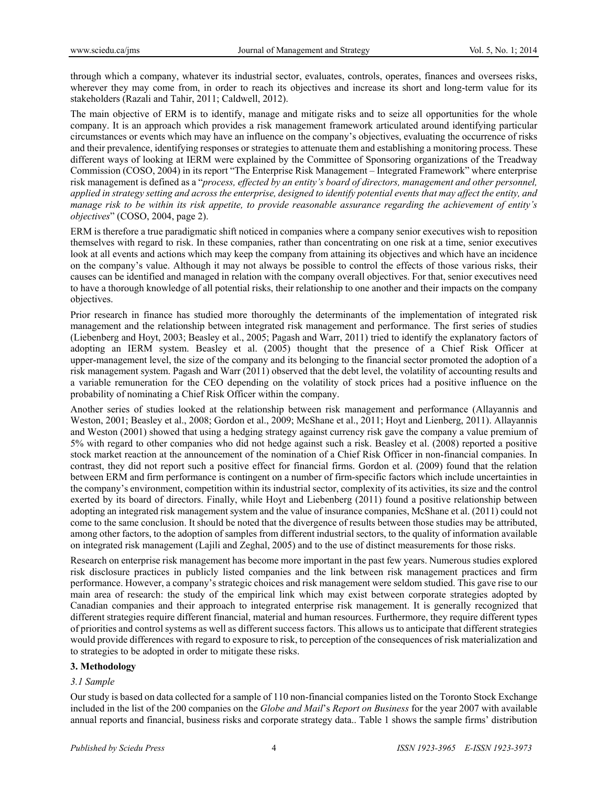through which a company, whatever its industrial sector, evaluates, controls, operates, finances and oversees risks, wherever they may come from, in order to reach its objectives and increase its short and long-term value for its stakeholders (Razali and Tahir, 2011; Caldwell, 2012).

The main objective of ERM is to identify, manage and mitigate risks and to seize all opportunities for the whole company. It is an approach which provides a risk management framework articulated around identifying particular circumstances or events which may have an influence on the company's objectives, evaluating the occurrence of risks and their prevalence, identifying responses or strategies to attenuate them and establishing a monitoring process. These different ways of looking at IERM were explained by the Committee of Sponsoring organizations of the Treadway Commission (COSO, 2004) in its report "The Enterprise Risk Management – Integrated Framework" where enterprise risk management is defined as a "*process, effected by an entity's board of directors, management and other personnel, applied in strategy setting and across the enterprise, designed to identify potential events that may affect the entity, and manage risk to be within its risk appetite, to provide reasonable assurance regarding the achievement of entity's objectives*" (COSO, 2004, page 2).

ERM is therefore a true paradigmatic shift noticed in companies where a company senior executives wish to reposition themselves with regard to risk. In these companies, rather than concentrating on one risk at a time, senior executives look at all events and actions which may keep the company from attaining its objectives and which have an incidence on the company's value. Although it may not always be possible to control the effects of those various risks, their causes can be identified and managed in relation with the company overall objectives. For that, senior executives need to have a thorough knowledge of all potential risks, their relationship to one another and their impacts on the company objectives.

Prior research in finance has studied more thoroughly the determinants of the implementation of integrated risk management and the relationship between integrated risk management and performance. The first series of studies (Liebenberg and Hoyt, 2003; Beasley et al., 2005; Pagash and Warr, 2011) tried to identify the explanatory factors of adopting an IERM system. Beasley et al. (2005) thought that the presence of a Chief Risk Officer at upper-management level, the size of the company and its belonging to the financial sector promoted the adoption of a risk management system. Pagash and Warr (2011) observed that the debt level, the volatility of accounting results and a variable remuneration for the CEO depending on the volatility of stock prices had a positive influence on the probability of nominating a Chief Risk Officer within the company.

Another series of studies looked at the relationship between risk management and performance (Allayannis and Weston, 2001; Beasley et al., 2008; Gordon et al., 2009; McShane et al., 2011; Hoyt and Lienberg, 2011). Allayannis and Weston (2001) showed that using a hedging strategy against currency risk gave the company a value premium of 5% with regard to other companies who did not hedge against such a risk. Beasley et al. (2008) reported a positive stock market reaction at the announcement of the nomination of a Chief Risk Officer in non-financial companies. In contrast, they did not report such a positive effect for financial firms. Gordon et al. (2009) found that the relation between ERM and firm performance is contingent on a number of firm-specific factors which include uncertainties in the company's environment, competition within its industrial sector, complexity of its activities, its size and the control exerted by its board of directors. Finally, while Hoyt and Liebenberg (2011) found a positive relationship between adopting an integrated risk management system and the value of insurance companies, McShane et al. (2011) could not come to the same conclusion. It should be noted that the divergence of results between those studies may be attributed, among other factors, to the adoption of samples from different industrial sectors, to the quality of information available on integrated risk management (Lajili and Zeghal, 2005) and to the use of distinct measurements for those risks.

Research on enterprise risk management has become more important in the past few years. Numerous studies explored risk disclosure practices in publicly listed companies and the link between risk management practices and firm performance. However, a company's strategic choices and risk management were seldom studied. This gave rise to our main area of research: the study of the empirical link which may exist between corporate strategies adopted by Canadian companies and their approach to integrated enterprise risk management. It is generally recognized that different strategies require different financial, material and human resources. Furthermore, they require different types of priorities and control systems as well as different success factors. This allows us to anticipate that different strategies would provide differences with regard to exposure to risk, to perception of the consequences of risk materialization and to strategies to be adopted in order to mitigate these risks.

#### **3. Methodology**

#### *3.1 Sample*

Our study is based on data collected for a sample of 110 non-financial companies listed on the Toronto Stock Exchange included in the list of the 200 companies on the *Globe and Mail*'s *Report on Business* for the year 2007 with available annual reports and financial, business risks and corporate strategy data.. Table 1 shows the sample firms' distribution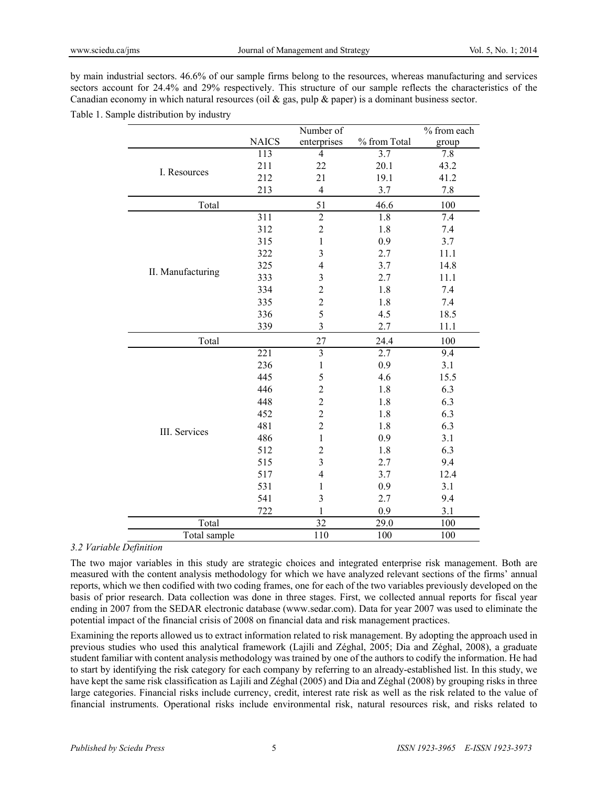by main industrial sectors. 46.6% of our sample firms belong to the resources, whereas manufacturing and services sectors account for 24.4% and 29% respectively. This structure of our sample reflects the characteristics of the Canadian economy in which natural resources (oil  $\&$  gas, pulp  $\&$  paper) is a dominant business sector.

## Table 1. Sample distribution by industry

|                   |                  | Number of                |                  | % from each |
|-------------------|------------------|--------------------------|------------------|-------------|
|                   | <b>NAICS</b>     | enterprises              | % from Total     | group       |
|                   | 113              | 4                        | 3.7              | 7.8         |
| I. Resources      | 211              | 22                       | 20.1             | 43.2        |
|                   | 212              | 21                       | 19.1             | 41.2        |
|                   | 213              | $\overline{\mathcal{L}}$ | 3.7              | 7.8         |
| Total             |                  | 51                       | 46.6             | 100         |
|                   | $\overline{311}$ | $\overline{2}$           | $1.\overline{8}$ | 7.4         |
|                   | 312              | $\overline{2}$           | 1.8              | 7.4         |
|                   | 315              | $\mathbf{1}$             | 0.9              | 3.7         |
|                   | 322              | 3                        | 2.7              | 11.1        |
| II. Manufacturing | 325              | $\overline{4}$           | 3.7              | 14.8        |
|                   | 333              | $\mathfrak{Z}$           | 2.7              | 11.1        |
|                   | 334              | $\overline{c}$           | 1.8              | 7.4         |
|                   | 335              | $\overline{c}$           | 1.8              | 7.4         |
|                   | 336              | 5                        | 4.5              | 18.5        |
|                   | 339              | $\overline{\mathbf{3}}$  | 2.7              | 11.1        |
| Total             |                  | 27                       | 24.4             | 100         |
|                   | 221              | $\overline{3}$           | 2.7              | 9.4         |
|                   | 236              | $\mathbf{1}$             | 0.9              | 3.1         |
|                   | 445              | 5                        | 4.6              | 15.5        |
|                   | 446              | $\overline{c}$           | 1.8              | 6.3         |
|                   | 448              | $\overline{c}$           | 1.8              | 6.3         |
|                   | 452              | $\overline{2}$           | 1.8              | 6.3         |
| III. Services     | 481              | $\overline{2}$           | 1.8              | 6.3         |
|                   | 486              | $\mathbf{1}$             | 0.9              | 3.1         |
|                   | 512              | $\overline{c}$           | 1.8              | 6.3         |
|                   | 515              | $\overline{\mathbf{3}}$  | 2.7              | 9.4         |
|                   | 517              | $\overline{4}$           | 3.7              | 12.4        |
|                   | 531              | 1                        | 0.9              | 3.1         |
|                   | 541              | $\overline{\mathbf{3}}$  | 2.7              | 9.4         |
|                   | 722              | 1                        | 0.9              | 3.1         |
| Total             |                  | $\overline{32}$          | 29.0             | 100         |
| Total sample      |                  | 110                      | 100              | 100         |

## *3.2 Variable Definition*

The two major variables in this study are strategic choices and integrated enterprise risk management. Both are measured with the content analysis methodology for which we have analyzed relevant sections of the firms' annual reports, which we then codified with two coding frames, one for each of the two variables previously developed on the basis of prior research. Data collection was done in three stages. First, we collected annual reports for fiscal year ending in 2007 from the SEDAR electronic database (www.sedar.com). Data for year 2007 was used to eliminate the potential impact of the financial crisis of 2008 on financial data and risk management practices.

Examining the reports allowed us to extract information related to risk management. By adopting the approach used in previous studies who used this analytical framework (Lajili and Zéghal, 2005; Dia and Zéghal, 2008), a graduate student familiar with content analysis methodology was trained by one of the authors to codify the information. He had to start by identifying the risk category for each company by referring to an already-established list. In this study, we have kept the same risk classification as Lajili and Zéghal (2005) and Dia and Zéghal (2008) by grouping risks in three large categories. Financial risks include currency, credit, interest rate risk as well as the risk related to the value of financial instruments. Operational risks include environmental risk, natural resources risk, and risks related to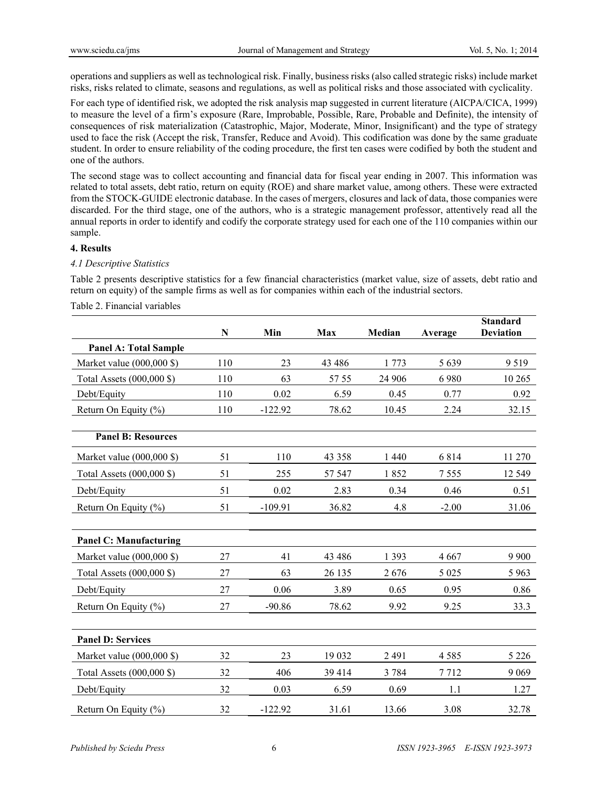operations and suppliers as well as technological risk. Finally, business risks (also called strategic risks) include market risks, risks related to climate, seasons and regulations, as well as political risks and those associated with cyclicality.

For each type of identified risk, we adopted the risk analysis map suggested in current literature (AICPA/CICA, 1999) to measure the level of a firm's exposure (Rare, Improbable, Possible, Rare, Probable and Definite), the intensity of consequences of risk materialization (Catastrophic, Major, Moderate, Minor, Insignificant) and the type of strategy used to face the risk (Accept the risk, Transfer, Reduce and Avoid). This codification was done by the same graduate student. In order to ensure reliability of the coding procedure, the first ten cases were codified by both the student and one of the authors.

The second stage was to collect accounting and financial data for fiscal year ending in 2007. This information was related to total assets, debt ratio, return on equity (ROE) and share market value, among others. These were extracted from the STOCK-GUIDE electronic database. In the cases of mergers, closures and lack of data, those companies were discarded. For the third stage, one of the authors, who is a strategic management professor, attentively read all the annual reports in order to identify and codify the corporate strategy used for each one of the 110 companies within our sample.

## **4. Results**

## *4.1 Descriptive Statistics*

Table 2 presents descriptive statistics for a few financial characteristics (market value, size of assets, debt ratio and return on equity) of the sample firms as well as for companies within each of the industrial sectors.

Table 2. Financial variables

|                               | $\mathbf N$ | Min       | <b>Max</b> | Median  | Average | <b>Standard</b><br><b>Deviation</b> |
|-------------------------------|-------------|-----------|------------|---------|---------|-------------------------------------|
| <b>Panel A: Total Sample</b>  |             |           |            |         |         |                                     |
| Market value (000,000 \$)     | 110         | 23        | 43 48 6    | 1773    | 5 6 3 9 | 9519                                |
| Total Assets (000,000 \$)     | 110         | 63        | 57 55      | 24 906  | 6980    | 10 265                              |
| Debt/Equity                   | 110         | 0.02      | 6.59       | 0.45    | 0.77    | 0.92                                |
| Return On Equity $(\% )$      | 110         | $-122.92$ | 78.62      | 10.45   | 2.24    | 32.15                               |
| <b>Panel B: Resources</b>     |             |           |            |         |         |                                     |
| Market value (000,000 \$)     | 51          | 110       | 43 358     | 1 4 4 0 | 6814    | 11 270                              |
| Total Assets (000,000 \$)     | 51          | 255       | 57 547     | 1852    | 7555    | 12 549                              |
| Debt/Equity                   | 51          | 0.02      | 2.83       | 0.34    | 0.46    | 0.51                                |
| Return On Equity (%)          | 51          | $-109.91$ | 36.82      | 4.8     | $-2.00$ | 31.06                               |
| <b>Panel C: Manufacturing</b> |             |           |            |         |         |                                     |
| Market value (000,000 \$)     | 27          | 41        | 43 48 6    | 1 3 9 3 | 4 6 6 7 | 9 9 0 0                             |
| Total Assets (000,000 \$)     | 27          | 63        | 26 135     | 2676    | 5 0 2 5 | 5 9 6 3                             |
| Debt/Equity                   | 27          | 0.06      | 3.89       | 0.65    | 0.95    | 0.86                                |
| Return On Equity $(\% )$      | 27          | $-90.86$  | 78.62      | 9.92    | 9.25    | 33.3                                |
| <b>Panel D: Services</b>      |             |           |            |         |         |                                     |
| Market value (000,000 \$)     | 32          | 23        | 19 032     | 2 4 9 1 | 4585    | 5 2 2 6                             |
| Total Assets (000,000 \$)     | 32          | 406       | 39 414     | 3784    | 7712    | 9 0 6 9                             |
| Debt/Equity                   | 32          | 0.03      | 6.59       | 0.69    | 1.1     | 1.27                                |
| Return On Equity (%)          | 32          | $-122.92$ | 31.61      | 13.66   | 3.08    | 32.78                               |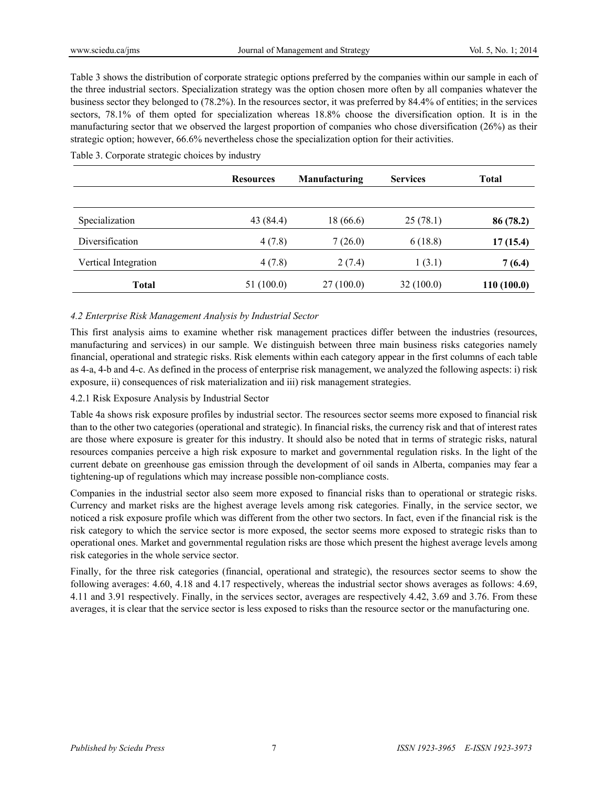Table 3 shows the distribution of corporate strategic options preferred by the companies within our sample in each of the three industrial sectors. Specialization strategy was the option chosen more often by all companies whatever the business sector they belonged to (78.2%). In the resources sector, it was preferred by 84.4% of entities; in the services sectors, 78.1% of them opted for specialization whereas 18.8% choose the diversification option. It is in the manufacturing sector that we observed the largest proportion of companies who chose diversification (26%) as their strategic option; however, 66.6% nevertheless chose the specialization option for their activities.

|                      | <b>Resources</b> | Manufacturing | <b>Services</b> | <b>Total</b> |
|----------------------|------------------|---------------|-----------------|--------------|
| Specialization       | 43 (84.4)        | 18(66.6)      | 25(78.1)        | 86 (78.2)    |
| Diversification      | 4(7.8)           | 7(26.0)       | 6(18.8)         | 17(15.4)     |
| Vertical Integration | 4(7.8)           | 2(7.4)        | 1(3.1)          | 7(6.4)       |
| <b>Total</b>         | 51(100.0)        | 27(100.0)     | 32(100.0)       | 110(100.0)   |

Table 3. Corporate strategic choices by industry

## *4.2 Enterprise Risk Management Analysis by Industrial Sector*

This first analysis aims to examine whether risk management practices differ between the industries (resources, manufacturing and services) in our sample. We distinguish between three main business risks categories namely financial, operational and strategic risks. Risk elements within each category appear in the first columns of each table as 4-a, 4-b and 4-c. As defined in the process of enterprise risk management, we analyzed the following aspects: i) risk exposure, ii) consequences of risk materialization and iii) risk management strategies.

## 4.2.1 Risk Exposure Analysis by Industrial Sector

Table 4a shows risk exposure profiles by industrial sector. The resources sector seems more exposed to financial risk than to the other two categories (operational and strategic). In financial risks, the currency risk and that of interest rates are those where exposure is greater for this industry. It should also be noted that in terms of strategic risks, natural resources companies perceive a high risk exposure to market and governmental regulation risks. In the light of the current debate on greenhouse gas emission through the development of oil sands in Alberta, companies may fear a tightening-up of regulations which may increase possible non-compliance costs.

Companies in the industrial sector also seem more exposed to financial risks than to operational or strategic risks. Currency and market risks are the highest average levels among risk categories. Finally, in the service sector, we noticed a risk exposure profile which was different from the other two sectors. In fact, even if the financial risk is the risk category to which the service sector is more exposed, the sector seems more exposed to strategic risks than to operational ones. Market and governmental regulation risks are those which present the highest average levels among risk categories in the whole service sector.

Finally, for the three risk categories (financial, operational and strategic), the resources sector seems to show the following averages: 4.60, 4.18 and 4.17 respectively, whereas the industrial sector shows averages as follows: 4.69, 4.11 and 3.91 respectively. Finally, in the services sector, averages are respectively 4.42, 3.69 and 3.76. From these averages, it is clear that the service sector is less exposed to risks than the resource sector or the manufacturing one.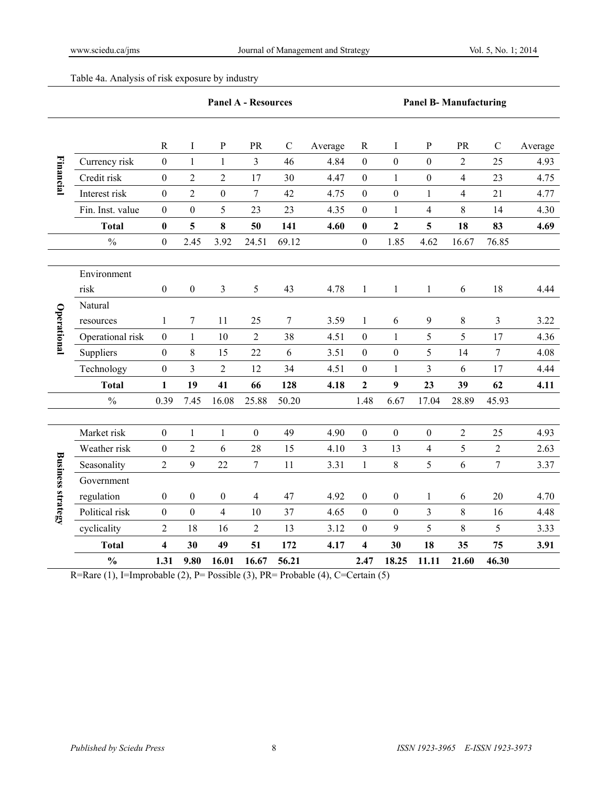Table 4a. Analysis of risk exposure by industry

|                          |                  |                  |                  |                  | <b>Panel A - Resources</b> |             |         |                  |                  |                  | <b>Panel B- Manufacturing</b> |                  |         |
|--------------------------|------------------|------------------|------------------|------------------|----------------------------|-------------|---------|------------------|------------------|------------------|-------------------------------|------------------|---------|
|                          |                  | $\mathbf R$      | $\rm I$          | ${\bf P}$        | PR                         | $\mathbf C$ | Average | $\mathbf R$      | I                | $\, {\bf p}$     | PR                            | $\mathbf C$      | Average |
|                          | Currency risk    | $\mathbf{0}$     | $\mathbf{1}$     | $\mathbf{1}$     | $\overline{3}$             | 46          | 4.84    | $\mathbf{0}$     | $\overline{0}$   | $\overline{0}$   | $\overline{2}$                | 25               | 4.93    |
| Financial                | Credit risk      | $\boldsymbol{0}$ | $\overline{2}$   | $\overline{2}$   | 17                         | 30          | 4.47    | $\boldsymbol{0}$ | $\mathbf{1}$     | $\boldsymbol{0}$ | $\overline{4}$                | 23               | 4.75    |
|                          | Interest risk    | $\mathbf{0}$     | $\overline{2}$   | $\mathbf{0}$     | $\overline{7}$             | 42          | 4.75    | $\boldsymbol{0}$ | $\mathbf{0}$     | $\mathbf{1}$     | $\overline{4}$                | 21               | 4.77    |
|                          | Fin. Inst. value | $\boldsymbol{0}$ | $\mathbf{0}$     | 5                | 23                         | 23          | 4.35    | $\boldsymbol{0}$ | $\mathbf{1}$     | $\overline{4}$   | $\,8\,$                       | 14               | 4.30    |
|                          | <b>Total</b>     | $\bf{0}$         | 5                | 8                | 50                         | 141         | 4.60    | $\bf{0}$         | $\overline{2}$   | 5                | 18                            | 83               | 4.69    |
|                          | $\frac{0}{0}$    | $\boldsymbol{0}$ | 2.45             | 3.92             | 24.51                      | 69.12       |         | $\boldsymbol{0}$ | 1.85             | 4.62             | 16.67                         | 76.85            |         |
|                          |                  |                  |                  |                  |                            |             |         |                  |                  |                  |                               |                  |         |
|                          | Environment      |                  |                  |                  |                            |             |         |                  |                  |                  |                               |                  |         |
|                          | risk             | $\boldsymbol{0}$ | $\boldsymbol{0}$ | 3                | 5                          | 43          | 4.78    | $\mathbf{1}$     | $\mathbf{1}$     | $\mathbf{1}$     | 6                             | 18               | 4.44    |
|                          | Natural          |                  |                  |                  |                            |             |         |                  |                  |                  |                               |                  |         |
|                          | resources        | $\mathbf{1}$     | 7                | 11               | 25                         | 7           | 3.59    | $\mathbf{1}$     | 6                | 9                | $\,8\,$                       | 3                | 3.22    |
| Operational              | Operational risk | $\boldsymbol{0}$ | $\mathbf{1}$     | 10               | $\overline{2}$             | 38          | 4.51    | $\boldsymbol{0}$ | $\mathbf{1}$     | 5                | 5                             | 17               | 4.36    |
|                          | Suppliers        | $\boldsymbol{0}$ | 8                | 15               | 22                         | 6           | 3.51    | $\boldsymbol{0}$ | $\boldsymbol{0}$ | 5                | 14                            | $7\phantom{.0}$  | 4.08    |
|                          | Technology       | $\boldsymbol{0}$ | 3                | $\overline{2}$   | 12                         | 34          | 4.51    | $\boldsymbol{0}$ | $\mathbf{1}$     | 3                | 6                             | 17               | 4.44    |
|                          | <b>Total</b>     | 1                | 19               | 41               | 66                         | 128         | 4.18    | $\mathbf{2}$     | 9                | 23               | 39                            | 62               | 4.11    |
|                          | $\frac{0}{0}$    | 0.39             | 7.45             | 16.08            | 25.88                      | 50.20       |         | 1.48             | 6.67             | 17.04            | 28.89                         | 45.93            |         |
|                          |                  |                  |                  |                  |                            |             |         |                  |                  |                  |                               |                  |         |
|                          | Market risk      | $\boldsymbol{0}$ | $\mathbf{1}$     | $\mathbf{1}$     | $\boldsymbol{0}$           | 49          | 4.90    | $\boldsymbol{0}$ | $\boldsymbol{0}$ | $\boldsymbol{0}$ | $\overline{2}$                | 25               | 4.93    |
|                          | Weather risk     | $\boldsymbol{0}$ | $\overline{2}$   | 6                | 28                         | 15          | 4.10    | $\mathfrak{Z}$   | 13               | 4                | $\sqrt{5}$                    | $\boldsymbol{2}$ | 2.63    |
|                          | Seasonality      | $\overline{2}$   | 9                | 22               | $\overline{7}$             | 11          | 3.31    | $\mathbf{1}$     | 8                | 5                | 6                             | $\overline{7}$   | 3.37    |
|                          | Government       |                  |                  |                  |                            |             |         |                  |                  |                  |                               |                  |         |
|                          | regulation       | $\boldsymbol{0}$ | $\boldsymbol{0}$ | $\boldsymbol{0}$ | $\overline{4}$             | 47          | 4.92    | $\boldsymbol{0}$ | $\boldsymbol{0}$ | $\mathbf{1}$     | 6                             | 20               | 4.70    |
| <b>Business strategy</b> | Political risk   | $\boldsymbol{0}$ | $\boldsymbol{0}$ | $\overline{4}$   | 10                         | 37          | 4.65    | $\boldsymbol{0}$ | $\boldsymbol{0}$ | $\overline{3}$   | $\,8\,$                       | 16               | 4.48    |
|                          | cyclicality      | $\overline{2}$   | 18               | 16               | $\overline{2}$             | 13          | 3.12    | $\boldsymbol{0}$ | 9                | 5                | $\,8\,$                       | 5                | 3.33    |
|                          | <b>Total</b>     | 4                | 30               | 49               | 51                         | 172         | 4.17    | 4                | 30               | 18               | 35                            | 75               | 3.91    |
|                          | $\frac{0}{0}$    | 1.31             | 9.80             | 16.01            | 16.67                      | 56.21       |         | 2.47             | 18.25            | 11.11            | 21.60                         | 46.30            |         |

R=Rare (1), I=Improbable (2), P= Possible (3), PR= Probable (4), C=Certain (5)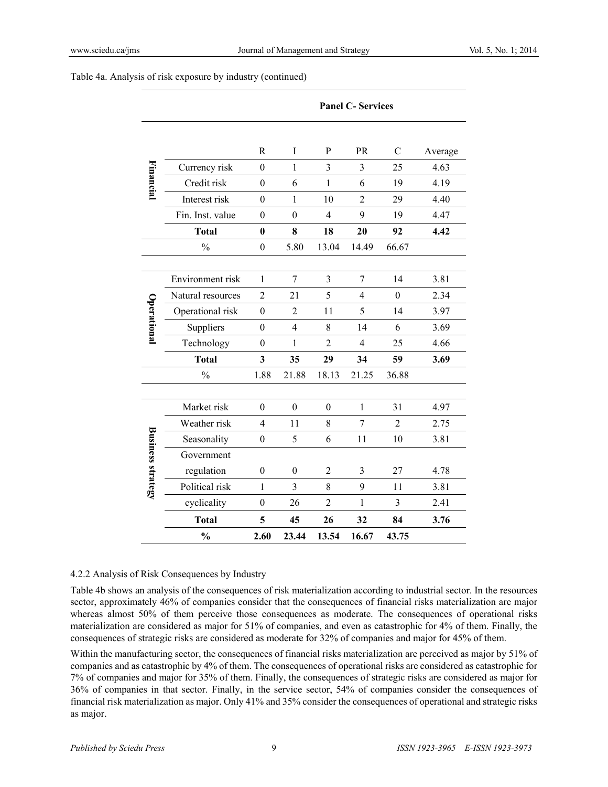**Panel C- Services** 

|                          |                   | R                | I              | $\mathbf{P}$   | PR             | $\mathcal{C}_{0}^{(n)}$ | Average |
|--------------------------|-------------------|------------------|----------------|----------------|----------------|-------------------------|---------|
|                          | Currency risk     | $\theta$         | 1              | 3              | 3              | 25                      | 4.63    |
| Financial                | Credit risk       | $\boldsymbol{0}$ | 6              | $\mathbf{1}$   | 6              | 19                      | 4.19    |
|                          | Interest risk     | $\theta$         | 1              | 10             | $\overline{2}$ | 29                      | 4.40    |
|                          | Fin. Inst. value  | $\mathbf{0}$     | $\mathbf{0}$   | $\overline{4}$ | 9              | 19                      | 4.47    |
|                          | <b>Total</b>      | $\bf{0}$         | 8              | 18             | 20             | 92                      | 4.42    |
|                          | $\frac{0}{0}$     | $\boldsymbol{0}$ | 5.80           | 13.04          | 14.49          | 66.67                   |         |
|                          |                   |                  |                |                |                |                         |         |
|                          | Environment risk  | $\mathbf{1}$     | 7              | 3              | 7              | 14                      | 3.81    |
|                          | Natural resources | $\overline{2}$   | 21             | 5              | 4              | $\theta$                | 2.34    |
|                          | Operational risk  | $\mathbf{0}$     | $\overline{2}$ | 11             | 5              | 14                      | 3.97    |
| Operational              | Suppliers         | $\boldsymbol{0}$ | $\overline{4}$ | 8              | 14             | 6                       | 3.69    |
|                          | Technology        | $\boldsymbol{0}$ | 1              | $\overline{2}$ | $\overline{4}$ | 25                      | 4.66    |
|                          | <b>Total</b>      | 3                | 35             | 29             | 34             | 59                      | 3.69    |
|                          | $\frac{0}{0}$     | 1.88             | 21.88          | 18.13          | 21.25          | 36.88                   |         |
|                          |                   |                  |                |                |                |                         |         |
|                          | Market risk       | $\mathbf{0}$     | $\mathbf{0}$   | $\mathbf{0}$   | 1              | 31                      | 4.97    |
|                          | Weather risk      | $\overline{4}$   | 11             | $\,$ 8 $\,$    | $\tau$         | $\overline{2}$          | 2.75    |
| <b>Business strategy</b> | Seasonality       | $\theta$         | 5              | 6              | 11             | 10                      | 3.81    |
|                          | Government        |                  |                |                |                |                         |         |
|                          | regulation        | $\theta$         | $\theta$       | $\overline{2}$ | 3              | 27                      | 4.78    |
|                          | Political risk    | 1                | 3              | 8              | 9              | 11                      | 3.81    |
|                          | cyclicality       | $\boldsymbol{0}$ | 26             | $\overline{2}$ | $\mathbf{1}$   | $\overline{3}$          | 2.41    |
|                          | <b>Total</b>      | 5                | 45             | 26             | 32             | 84                      | 3.76    |
|                          | $\frac{0}{0}$     | 2.60             | 23.44          | 13.54          | 16.67          | 43.75                   |         |

## Table 4a. Analysis of risk exposure by industry (continued)

## 4.2.2 Analysis of Risk Consequences by Industry

Table 4b shows an analysis of the consequences of risk materialization according to industrial sector. In the resources sector, approximately 46% of companies consider that the consequences of financial risks materialization are major whereas almost 50% of them perceive those consequences as moderate. The consequences of operational risks materialization are considered as major for 51% of companies, and even as catastrophic for 4% of them. Finally, the consequences of strategic risks are considered as moderate for 32% of companies and major for 45% of them.

Within the manufacturing sector, the consequences of financial risks materialization are perceived as major by 51% of companies and as catastrophic by 4% of them. The consequences of operational risks are considered as catastrophic for 7% of companies and major for 35% of them. Finally, the consequences of strategic risks are considered as major for 36% of companies in that sector. Finally, in the service sector, 54% of companies consider the consequences of financial risk materialization as major. Only 41% and 35% consider the consequences of operational and strategic risks as major.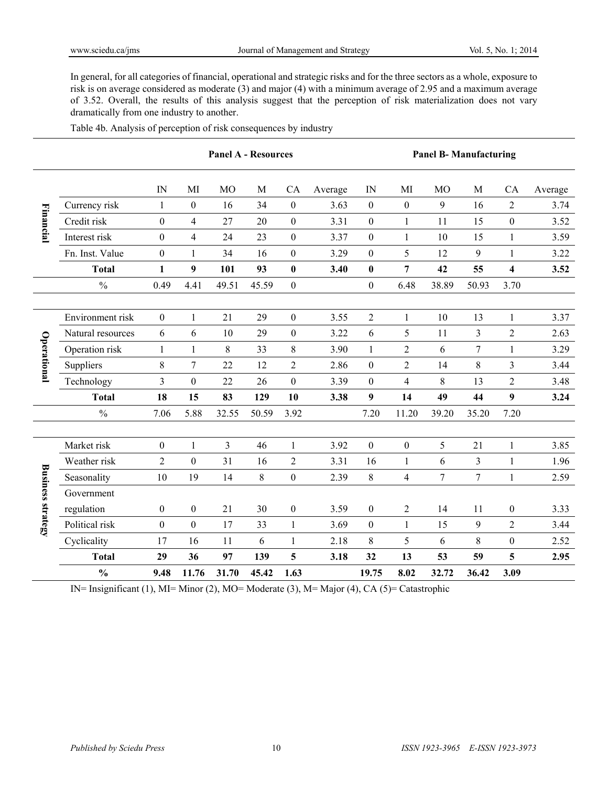In general, for all categories of financial, operational and strategic risks and for the three sectors as a whole, exposure to risk is on average considered as moderate (3) and major (4) with a minimum average of 2.95 and a maximum average of 3.52. Overall, the results of this analysis suggest that the perception of risk materialization does not vary dramatically from one industry to another.

Table 4b. Analysis of perception of risk consequences by industry

|                          |                   |                  |                         | <b>Panel A - Resources</b> |             |                  |         |                  |                         |           | <b>Panel B- Manufacturing</b> |                         |         |
|--------------------------|-------------------|------------------|-------------------------|----------------------------|-------------|------------------|---------|------------------|-------------------------|-----------|-------------------------------|-------------------------|---------|
|                          |                   | IN               | MI                      | <b>MO</b>                  | $\mathbf M$ | CA               | Average | IN               | MI                      | <b>MO</b> | M                             | CA                      | Average |
|                          | Currency risk     | $\mathbf{1}$     | $\boldsymbol{0}$        | 16                         | 34          | $\boldsymbol{0}$ | 3.63    | $\boldsymbol{0}$ | $\boldsymbol{0}$        | 9         | 16                            | $\overline{2}$          | 3.74    |
| Financial                | Credit risk       | $\boldsymbol{0}$ | $\overline{\mathbf{4}}$ | 27                         | 20          | $\overline{0}$   | 3.31    | $\boldsymbol{0}$ | $\mathbf{1}$            | 11        | 15                            | $\overline{0}$          | 3.52    |
|                          | Interest risk     | $\boldsymbol{0}$ | $\overline{4}$          | 24                         | 23          | $\boldsymbol{0}$ | 3.37    | $\boldsymbol{0}$ | $\mathbf{1}$            | 10        | 15                            | $\mathbf{1}$            | 3.59    |
|                          | Fn. Inst. Value   | $\mathbf{0}$     | $\mathbf{1}$            | 34                         | 16          | $\boldsymbol{0}$ | 3.29    | $\mathbf{0}$     | 5                       | 12        | 9                             | $\mathbf{1}$            | 3.22    |
|                          | <b>Total</b>      | $\mathbf{1}$     | 9                       | 101                        | 93          | $\bf{0}$         | 3.40    | $\bf{0}$         | $\overline{7}$          | 42        | 55                            | $\overline{\mathbf{4}}$ | 3.52    |
|                          | $\frac{0}{0}$     | 0.49             | 4.41                    | 49.51                      | 45.59       | $\overline{0}$   |         | $\boldsymbol{0}$ | 6.48                    | 38.89     | 50.93                         | 3.70                    |         |
|                          |                   |                  |                         |                            |             |                  |         |                  |                         |           |                               |                         |         |
|                          | Environment risk  | $\boldsymbol{0}$ | $\mathbf{1}$            | 21                         | 29          | $\boldsymbol{0}$ | 3.55    | $\overline{2}$   | $\mathbf{1}$            | 10        | 13                            | $\mathbf{1}$            | 3.37    |
|                          | Natural resources | 6                | 6                       | 10                         | 29          | $\boldsymbol{0}$ | 3.22    | 6                | 5                       | 11        | $\overline{3}$                | $\overline{2}$          | 2.63    |
|                          | Operation risk    | 1                | $\mathbf{1}$            | 8                          | 33          | 8                | 3.90    | $\mathbf{1}$     | $\overline{2}$          | 6         | $\overline{7}$                | $\mathbf{1}$            | 3.29    |
| Operational              | Suppliers         | $8\,$            | 7                       | 22                         | 12          | $\overline{c}$   | 2.86    | $\boldsymbol{0}$ | $\overline{2}$          | 14        | 8                             | 3                       | 3.44    |
|                          | Technology        | $\overline{3}$   | $\boldsymbol{0}$        | 22                         | 26          | $\boldsymbol{0}$ | 3.39    | $\mathbf{0}$     | $\overline{4}$          | 8         | 13                            | $\overline{2}$          | 3.48    |
|                          | <b>Total</b>      | 18               | 15                      | 83                         | 129         | 10               | 3.38    | 9                | 14                      | 49        | 44                            | $\boldsymbol{9}$        | 3.24    |
|                          | $\frac{0}{0}$     | 7.06             | 5.88                    | 32.55                      | 50.59       | 3.92             |         | 7.20             | 11.20                   | 39.20     | 35.20                         | 7.20                    |         |
|                          |                   |                  |                         |                            |             |                  |         |                  |                         |           |                               |                         |         |
|                          | Market risk       | $\boldsymbol{0}$ | $\mathbf{1}$            | $\overline{3}$             | 46          | $\mathbf{1}$     | 3.92    | $\boldsymbol{0}$ | $\boldsymbol{0}$        | 5         | 21                            | $\mathbf{1}$            | 3.85    |
|                          | Weather risk      | $\overline{2}$   | $\boldsymbol{0}$        | 31                         | 16          | $\overline{c}$   | 3.31    | 16               | $\mathbf{1}$            | 6         | $\mathfrak{Z}$                | $\mathbf{1}$            | 1.96    |
|                          | Seasonality       | 10               | 19                      | 14                         | $\,8\,$     | $\boldsymbol{0}$ | 2.39    | $\,8\,$          | $\overline{\mathbf{4}}$ | $\tau$    | $\boldsymbol{7}$              | $\mathbf{1}$            | 2.59    |
|                          | Government        |                  |                         |                            |             |                  |         |                  |                         |           |                               |                         |         |
|                          | regulation        | $\boldsymbol{0}$ | $\boldsymbol{0}$        | 21                         | 30          | $\boldsymbol{0}$ | 3.59    | $\boldsymbol{0}$ | $\overline{2}$          | 14        | 11                            | $\boldsymbol{0}$        | 3.33    |
| <b>Business strategy</b> | Political risk    | $\mathbf{0}$     | $\boldsymbol{0}$        | 17                         | 33          | $\mathbf{1}$     | 3.69    | $\boldsymbol{0}$ | $\mathbf{1}$            | 15        | 9                             | $\overline{2}$          | 3.44    |
|                          | Cyclicality       | 17               | 16                      | 11                         | 6           | $\mathbf{1}$     | 2.18    | $8\,$            | 5                       | 6         | 8                             | $\boldsymbol{0}$        | 2.52    |
|                          | <b>Total</b>      | 29               | 36                      | 97                         | 139         | 5 <sup>5</sup>   | 3.18    | 32               | 13                      | 53        | 59                            | 5 <sup>5</sup>          | 2.95    |
|                          | $\frac{0}{0}$     | 9.48             | 11.76                   | 31.70                      | 45.42       | 1.63             |         | 19.75            | 8.02                    | 32.72     | 36.42                         | 3.09                    |         |

IN= Insignificant (1), MI= Minor (2), MO= Moderate (3), M= Major (4), CA (5)= Catastrophic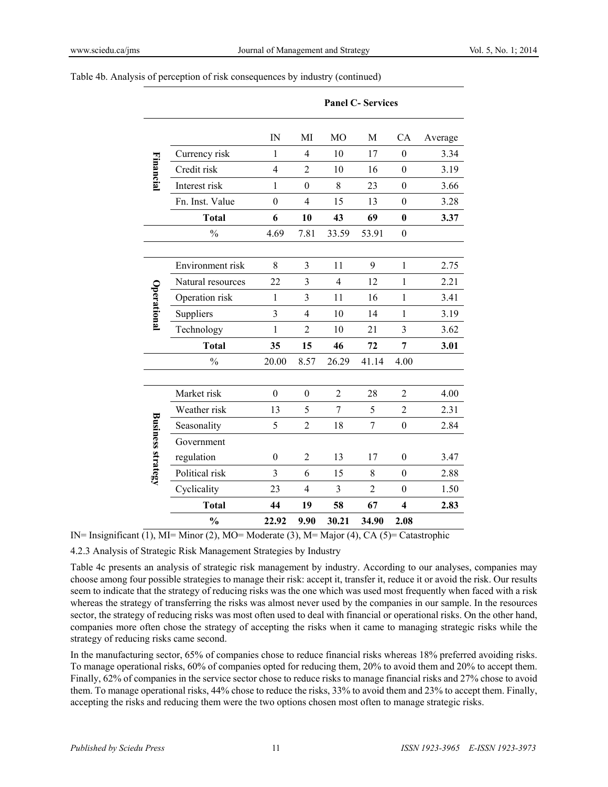|                          |                   |                  |                         |                | <b>Panel C- Services</b> |                         |         |
|--------------------------|-------------------|------------------|-------------------------|----------------|--------------------------|-------------------------|---------|
|                          |                   | IN               | MI                      | M <sub>O</sub> | M                        | CA                      | Average |
|                          | Currency risk     | $\mathbf{1}$     | $\overline{4}$          | 10             | 17                       | $\boldsymbol{0}$        | 3.34    |
| Financial                | Credit risk       | 4                | 2                       | 10             | 16                       | $\theta$                | 3.19    |
|                          | Interest risk     | 1                | $\theta$                | 8              | 23                       | $\boldsymbol{0}$        | 3.66    |
|                          | Fn. Inst. Value   | $\mathbf{0}$     | $\overline{4}$          | 15             | 13                       | $\boldsymbol{0}$        | 3.28    |
|                          | <b>Total</b>      | 6                | 10                      | 43             | 69                       | $\bf{0}$                | 3.37    |
|                          | $\frac{0}{0}$     | 4.69             | 7.81                    | 33.59          | 53.91                    | $\boldsymbol{0}$        |         |
|                          |                   |                  |                         |                |                          |                         |         |
|                          | Environment risk  | 8                | $\overline{3}$          | 11             | 9                        | $\mathbf{1}$            | 2.75    |
|                          | Natural resources | 22               | 3                       | $\overline{4}$ | 12                       | $\mathbf{1}$            | 2.21    |
|                          | Operation risk    | 1                | 3                       | 11             | 16                       | $\mathbf{1}$            | 3.41    |
| Operational              | Suppliers         | 3                | $\overline{\mathbf{4}}$ | 10             | 14                       | $\mathbf{1}$            | 3.19    |
|                          | Technology        | $\mathbf{1}$     | $\overline{2}$          | 10             | 21                       | 3                       | 3.62    |
|                          | <b>Total</b>      | 35               | 15                      | 46             | 72                       | 7                       | 3.01    |
|                          | $\frac{0}{0}$     | 20.00            | 8.57                    | 26.29          | 41.14                    | 4.00                    |         |
|                          |                   |                  |                         |                |                          |                         |         |
|                          | Market risk       | $\boldsymbol{0}$ | $\boldsymbol{0}$        | $\overline{2}$ | 28                       | $\overline{2}$          | 4.00    |
|                          | Weather risk      | 13               | 5                       | 7              | 5                        | 2                       | 2.31    |
| <b>Business strategy</b> | Seasonality       | 5                | $\overline{2}$          | 18             | $\overline{7}$           | $\boldsymbol{0}$        | 2.84    |
|                          | Government        |                  |                         |                |                          |                         |         |
|                          | regulation        | $\boldsymbol{0}$ | $\overline{2}$          | 13             | 17                       | $\boldsymbol{0}$        | 3.47    |
|                          | Political risk    | 3                | 6                       | 15             | 8                        | $\boldsymbol{0}$        | 2.88    |
|                          | Cyclicality       | 23               | $\overline{4}$          | 3              | $\overline{2}$           | $\boldsymbol{0}$        | 1.50    |
|                          | <b>Total</b>      | 44               | 19                      | 58             | 67                       | $\overline{\mathbf{4}}$ | 2.83    |
|                          | $\frac{0}{0}$     | 22.92            | 9.90                    | 30.21          | 34.90                    | 2.08                    |         |

## Table 4b. Analysis of perception of risk consequences by industry (continued)

IN= Insignificant (1), MI= Minor (2), MO= Moderate (3), M= Major (4), CA (5)= Catastrophic

4.2.3 Analysis of Strategic Risk Management Strategies by Industry

Table 4c presents an analysis of strategic risk management by industry. According to our analyses, companies may choose among four possible strategies to manage their risk: accept it, transfer it, reduce it or avoid the risk. Our results seem to indicate that the strategy of reducing risks was the one which was used most frequently when faced with a risk whereas the strategy of transferring the risks was almost never used by the companies in our sample. In the resources sector, the strategy of reducing risks was most often used to deal with financial or operational risks. On the other hand, companies more often chose the strategy of accepting the risks when it came to managing strategic risks while the strategy of reducing risks came second.

In the manufacturing sector, 65% of companies chose to reduce financial risks whereas 18% preferred avoiding risks. To manage operational risks, 60% of companies opted for reducing them, 20% to avoid them and 20% to accept them. Finally, 62% of companies in the service sector chose to reduce risks to manage financial risks and 27% chose to avoid them. To manage operational risks, 44% chose to reduce the risks, 33% to avoid them and 23% to accept them. Finally, accepting the risks and reducing them were the two options chosen most often to manage strategic risks.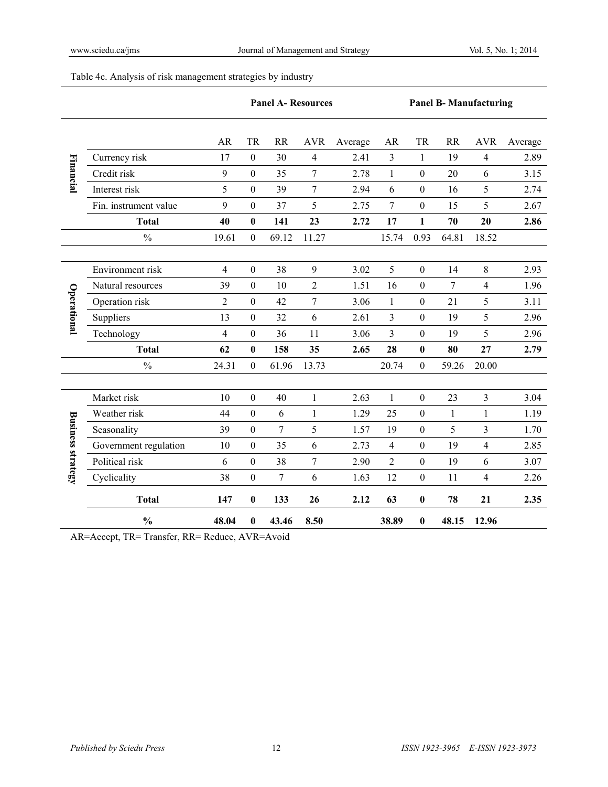Table 4c. Analysis of risk management strategies by industry

|                          |                       | <b>Panel A- Resources</b><br><b>Panel B- Manufacturing</b><br><b>TR</b><br>RR<br><b>AVR</b><br>TR<br>AR<br>AR<br>Average<br>$\overline{3}$<br>$\mathbf{0}$<br>30<br>$\overline{4}$<br>2.41<br>$\mathbf{1}$<br>17<br>9<br>$\mathbf{0}$<br>35<br>$\overline{7}$<br>2.78<br>$\mathbf{1}$<br>$\overline{0}$<br>5<br>$\boldsymbol{0}$<br>$\overline{7}$<br>39<br>6<br>$\boldsymbol{0}$<br>2.94<br>9<br>5<br>$\theta$<br>37<br>$\overline{7}$<br>$\mathbf{0}$<br>2.75<br>40<br>$\bf{0}$<br>141<br>23<br>2.72<br>17<br>$\mathbf{1}$<br><b>Total</b><br>$\frac{0}{0}$<br>$\boldsymbol{0}$<br>69.12<br>0.93<br>19.61<br>11.27<br>15.74<br>9<br>$\overline{4}$<br>$\boldsymbol{0}$<br>38<br>5<br>$\boldsymbol{0}$<br>3.02<br>$\overline{2}$<br>39<br>$\mathbf{0}$<br>$\boldsymbol{0}$<br>10<br>1.51<br>16<br>7<br>$\overline{2}$<br>42<br>$\boldsymbol{0}$<br>3.06<br>$\mathbf{1}$<br>$\boldsymbol{0}$<br>6<br>$\overline{3}$<br>$\boldsymbol{0}$<br>13<br>$\boldsymbol{0}$<br>32<br>2.61<br>$\overline{4}$<br>$\overline{3}$<br>$\boldsymbol{0}$<br>36<br>11<br>$\boldsymbol{0}$<br>3.06<br><b>Total</b><br>62<br>$\bf{0}$<br>35<br>$\bf{0}$<br>158<br>2.65<br>28<br>$\frac{0}{0}$<br>24.31<br>$\boldsymbol{0}$<br>61.96<br>$\mathbf{0}$<br>13.73<br>20.74 |                  |                |              |      |                |                  |                |                      |         |
|--------------------------|-----------------------|---------------------------------------------------------------------------------------------------------------------------------------------------------------------------------------------------------------------------------------------------------------------------------------------------------------------------------------------------------------------------------------------------------------------------------------------------------------------------------------------------------------------------------------------------------------------------------------------------------------------------------------------------------------------------------------------------------------------------------------------------------------------------------------------------------------------------------------------------------------------------------------------------------------------------------------------------------------------------------------------------------------------------------------------------------------------------------------------------------------------------------------------------------------------------------------------------------------------------------------------------|------------------|----------------|--------------|------|----------------|------------------|----------------|----------------------|---------|
|                          |                       |                                                                                                                                                                                                                                                                                                                                                                                                                                                                                                                                                                                                                                                                                                                                                                                                                                                                                                                                                                                                                                                                                                                                                                                                                                                   |                  |                |              |      |                |                  | RR             | $\operatorname{AVR}$ | Average |
|                          | Currency risk         |                                                                                                                                                                                                                                                                                                                                                                                                                                                                                                                                                                                                                                                                                                                                                                                                                                                                                                                                                                                                                                                                                                                                                                                                                                                   |                  |                |              |      |                |                  | 19             | $\overline{4}$       | 2.89    |
| Financial                | Credit risk           |                                                                                                                                                                                                                                                                                                                                                                                                                                                                                                                                                                                                                                                                                                                                                                                                                                                                                                                                                                                                                                                                                                                                                                                                                                                   |                  |                |              |      |                |                  | 20             | 6                    | 3.15    |
|                          | Interest risk         |                                                                                                                                                                                                                                                                                                                                                                                                                                                                                                                                                                                                                                                                                                                                                                                                                                                                                                                                                                                                                                                                                                                                                                                                                                                   |                  |                |              |      |                |                  | 16             | 5                    | 2.74    |
|                          | Fin. instrument value |                                                                                                                                                                                                                                                                                                                                                                                                                                                                                                                                                                                                                                                                                                                                                                                                                                                                                                                                                                                                                                                                                                                                                                                                                                                   |                  |                |              |      |                |                  | 15             | 5                    | 2.67    |
|                          |                       |                                                                                                                                                                                                                                                                                                                                                                                                                                                                                                                                                                                                                                                                                                                                                                                                                                                                                                                                                                                                                                                                                                                                                                                                                                                   |                  |                |              |      |                |                  | 70             | 20                   | 2.86    |
|                          |                       |                                                                                                                                                                                                                                                                                                                                                                                                                                                                                                                                                                                                                                                                                                                                                                                                                                                                                                                                                                                                                                                                                                                                                                                                                                                   |                  |                |              |      |                |                  | 64.81          | 18.52                |         |
|                          |                       |                                                                                                                                                                                                                                                                                                                                                                                                                                                                                                                                                                                                                                                                                                                                                                                                                                                                                                                                                                                                                                                                                                                                                                                                                                                   |                  |                |              |      |                |                  |                |                      |         |
|                          | Environment risk      |                                                                                                                                                                                                                                                                                                                                                                                                                                                                                                                                                                                                                                                                                                                                                                                                                                                                                                                                                                                                                                                                                                                                                                                                                                                   |                  |                |              |      |                |                  | 14             | $8\,$                | 2.93    |
|                          | Natural resources     |                                                                                                                                                                                                                                                                                                                                                                                                                                                                                                                                                                                                                                                                                                                                                                                                                                                                                                                                                                                                                                                                                                                                                                                                                                                   |                  |                |              |      |                |                  | $\overline{7}$ | $\overline{4}$       | 1.96    |
|                          | Operation risk        |                                                                                                                                                                                                                                                                                                                                                                                                                                                                                                                                                                                                                                                                                                                                                                                                                                                                                                                                                                                                                                                                                                                                                                                                                                                   |                  |                |              |      |                |                  | 21             | 5                    | 3.11    |
| Operational              | Suppliers             |                                                                                                                                                                                                                                                                                                                                                                                                                                                                                                                                                                                                                                                                                                                                                                                                                                                                                                                                                                                                                                                                                                                                                                                                                                                   |                  |                |              |      |                |                  | 19             | 5                    | 2.96    |
|                          | Technology            |                                                                                                                                                                                                                                                                                                                                                                                                                                                                                                                                                                                                                                                                                                                                                                                                                                                                                                                                                                                                                                                                                                                                                                                                                                                   |                  |                |              |      |                |                  | 19             | 5                    | 2.96    |
|                          |                       |                                                                                                                                                                                                                                                                                                                                                                                                                                                                                                                                                                                                                                                                                                                                                                                                                                                                                                                                                                                                                                                                                                                                                                                                                                                   |                  |                |              |      |                |                  | 80             | 27                   | 2.79    |
|                          |                       |                                                                                                                                                                                                                                                                                                                                                                                                                                                                                                                                                                                                                                                                                                                                                                                                                                                                                                                                                                                                                                                                                                                                                                                                                                                   |                  |                |              |      |                |                  | 59.26          | 20.00                |         |
|                          |                       |                                                                                                                                                                                                                                                                                                                                                                                                                                                                                                                                                                                                                                                                                                                                                                                                                                                                                                                                                                                                                                                                                                                                                                                                                                                   |                  |                |              |      |                |                  |                |                      |         |
|                          | Market risk           | 10                                                                                                                                                                                                                                                                                                                                                                                                                                                                                                                                                                                                                                                                                                                                                                                                                                                                                                                                                                                                                                                                                                                                                                                                                                                | $\boldsymbol{0}$ | 40             | $\mathbf{1}$ | 2.63 | $\mathbf{1}$   | $\boldsymbol{0}$ | 23             | $\overline{3}$       | 3.04    |
|                          | Weather risk          | 44                                                                                                                                                                                                                                                                                                                                                                                                                                                                                                                                                                                                                                                                                                                                                                                                                                                                                                                                                                                                                                                                                                                                                                                                                                                | $\mathbf{0}$     | 6              | $\mathbf{1}$ | 1.29 | 25             | $\mathbf{0}$     | $\mathbf{1}$   | $\mathbf{1}$         | 1.19    |
|                          | Seasonality           | 39                                                                                                                                                                                                                                                                                                                                                                                                                                                                                                                                                                                                                                                                                                                                                                                                                                                                                                                                                                                                                                                                                                                                                                                                                                                | $\boldsymbol{0}$ | $\overline{7}$ | 5            | 1.57 | 19             | $\boldsymbol{0}$ | 5              | 3                    | 1.70    |
|                          | Government regulation | 10                                                                                                                                                                                                                                                                                                                                                                                                                                                                                                                                                                                                                                                                                                                                                                                                                                                                                                                                                                                                                                                                                                                                                                                                                                                | $\boldsymbol{0}$ | 35             | 6            | 2.73 | $\overline{4}$ | $\boldsymbol{0}$ | 19             | $\overline{4}$       | 2.85    |
| <b>Business strategy</b> | Political risk        | 6                                                                                                                                                                                                                                                                                                                                                                                                                                                                                                                                                                                                                                                                                                                                                                                                                                                                                                                                                                                                                                                                                                                                                                                                                                                 | $\boldsymbol{0}$ | 38             | 7            | 2.90 | $\overline{2}$ | $\boldsymbol{0}$ | 19             | 6                    | 3.07    |
|                          | Cyclicality           | 38                                                                                                                                                                                                                                                                                                                                                                                                                                                                                                                                                                                                                                                                                                                                                                                                                                                                                                                                                                                                                                                                                                                                                                                                                                                | $\boldsymbol{0}$ | $\tau$         | 6            | 1.63 | 12             | $\boldsymbol{0}$ | 11             | $\overline{4}$       | 2.26    |
|                          | <b>Total</b>          | 147                                                                                                                                                                                                                                                                                                                                                                                                                                                                                                                                                                                                                                                                                                                                                                                                                                                                                                                                                                                                                                                                                                                                                                                                                                               | $\pmb{0}$        | 133            | 26           | 2.12 | 63             | $\pmb{0}$        | 78             | 21                   | 2.35    |
|                          | $\frac{0}{0}$         | 48.04                                                                                                                                                                                                                                                                                                                                                                                                                                                                                                                                                                                                                                                                                                                                                                                                                                                                                                                                                                                                                                                                                                                                                                                                                                             | $\bf{0}$         | 43.46          | 8.50         |      | 38.89          | 0                | 48.15          | 12.96                |         |

AR=Accept, TR= Transfer, RR= Reduce, AVR=Avoid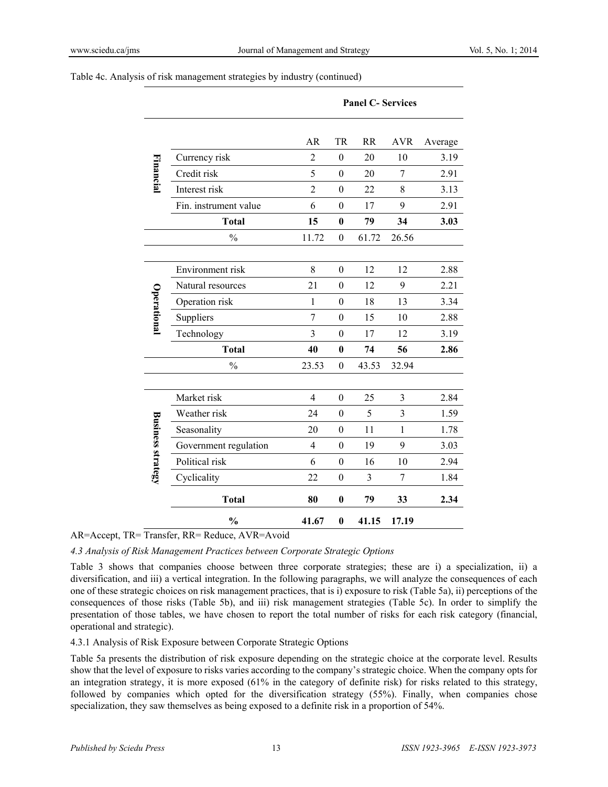|                          |                       |                |                  | <b>Panel C- Services</b> |              |         |
|--------------------------|-----------------------|----------------|------------------|--------------------------|--------------|---------|
|                          |                       | AR             | <b>TR</b>        | <b>RR</b>                | <b>AVR</b>   | Average |
|                          | Currency risk         | $\overline{2}$ | $\mathbf{0}$     | 20                       | 10           | 3.19    |
| Financial                | Credit risk           | 5              | $\theta$         | 20                       | 7            | 2.91    |
|                          | Interest risk         | $\overline{2}$ | $\theta$         | 22                       | 8            | 3.13    |
|                          | Fin. instrument value | 6              | $\mathbf{0}$     | 17                       | 9            | 2.91    |
|                          | <b>Total</b>          | 15             | $\mathbf{0}$     | 79                       | 34           | 3.03    |
|                          | $\frac{0}{0}$         | 11.72          | $\boldsymbol{0}$ | 61.72                    | 26.56        |         |
|                          |                       |                |                  |                          |              |         |
|                          | Environment risk      | 8              | $\theta$         | 12                       | 12           | 2.88    |
|                          | Natural resources     | 21             | $\boldsymbol{0}$ | 12                       | 9            | 2.21    |
|                          | Operation risk        | 1              | $\theta$         | 18                       | 13           | 3.34    |
| Operational              | Suppliers             | 7              | $\boldsymbol{0}$ | 15                       | 10           | 2.88    |
|                          | Technology            | 3              | $\theta$         | 17                       | 12           | 3.19    |
|                          | <b>Total</b>          | 40             | $\bf{0}$         | 74                       | 56           | 2.86    |
|                          | $\frac{0}{0}$         | 23.53          | $\theta$         | 43.53                    | 32.94        |         |
|                          | Market risk           | $\overline{4}$ | $\boldsymbol{0}$ | 25                       | 3            | 2.84    |
|                          | Weather risk          | 24             | $\theta$         | 5                        | 3            | 1.59    |
|                          | Seasonality           | 20             | $\boldsymbol{0}$ | 11                       | $\mathbf{1}$ | 1.78    |
|                          | Government regulation | 4              | $\theta$         | 19                       | 9            | 3.03    |
|                          | Political risk        | 6              | $\boldsymbol{0}$ | 16                       | 10           | 2.94    |
| <b>Business strategy</b> | Cyclicality           | 22             | $\boldsymbol{0}$ | 3                        | 7            | 1.84    |
|                          | <b>Total</b>          | 80             | $\bf{0}$         | 79                       | 33           | 2.34    |
|                          | $\frac{0}{0}$         | 41.67          | $\bf{0}$         | 41.15                    | 17.19        |         |

## Table 4c. Analysis of risk management strategies by industry (continued)

AR=Accept, TR= Transfer, RR= Reduce, AVR=Avoid

*4.3 Analysis of Risk Management Practices between Corporate Strategic Options* 

Table 3 shows that companies choose between three corporate strategies; these are i) a specialization, ii) a diversification, and iii) a vertical integration. In the following paragraphs, we will analyze the consequences of each one of these strategic choices on risk management practices, that is i) exposure to risk (Table 5a), ii) perceptions of the consequences of those risks (Table 5b), and iii) risk management strategies (Table 5c). In order to simplify the presentation of those tables, we have chosen to report the total number of risks for each risk category (financial, operational and strategic).

4.3.1 Analysis of Risk Exposure between Corporate Strategic Options

Table 5a presents the distribution of risk exposure depending on the strategic choice at the corporate level. Results show that the level of exposure to risks varies according to the company's strategic choice. When the company opts for an integration strategy, it is more exposed (61% in the category of definite risk) for risks related to this strategy, followed by companies which opted for the diversification strategy (55%). Finally, when companies chose specialization, they saw themselves as being exposed to a definite risk in a proportion of 54%.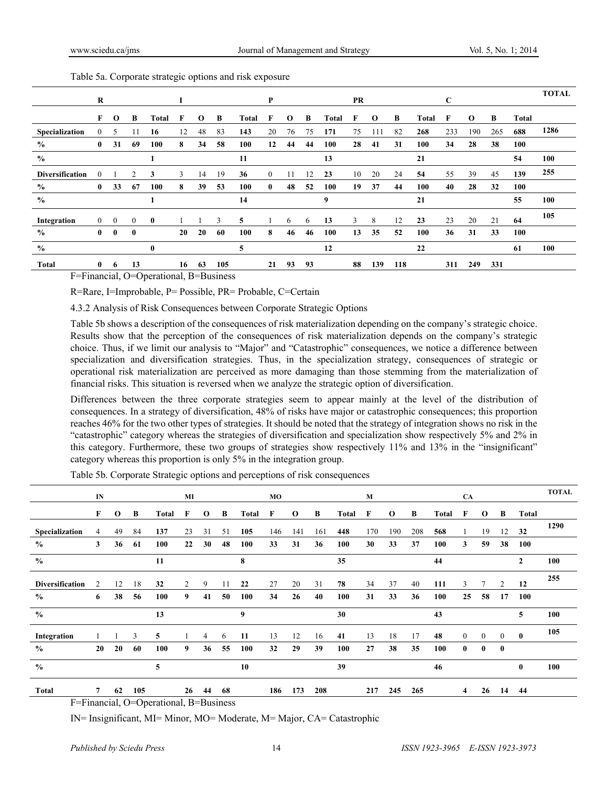|                        | $\bf R$          |             |                |              |    |          |     |       | P              |          |    |       | <b>PR</b> |              |     |       | C   |              |     |       | <b>TOTAL</b> |
|------------------------|------------------|-------------|----------------|--------------|----|----------|-----|-------|----------------|----------|----|-------|-----------|--------------|-----|-------|-----|--------------|-----|-------|--------------|
|                        | F                | $\mathbf 0$ | B              | Total        | F  | $\Omega$ | B   | Total | F              | $\Omega$ | B  | Total | F         | $\mathbf{o}$ | B   | Total | F   | $\mathbf{o}$ | B   | Total |              |
| Specialization         | $\left( \right)$ | 5           | 11             | 16           | 12 | 48       | 83  | 143   | 20             | 76       | 75 | 171   | 75        | 111          | 82  | 268   | 233 | 190          | 265 | 688   | 1286         |
| $\frac{6}{9}$          | $\mathbf{0}$     | 31          | -69            | 100          | 8  | 34       | 58  | 100   | 12             | 44       | 44 | 100   | 28        | 41           | 31  | 100   | 34  | 28           | 38  | 100   |              |
| $\frac{6}{6}$          |                  |             |                |              |    |          |     | 11    |                |          |    | 13    |           |              |     | 21    |     |              |     | 54    | 100          |
| <b>Diversification</b> | $\theta$         |             | $\mathfrak{D}$ | 3            | 3  | 14       | 19  | 36    | $\overline{0}$ | 11       | 12 | 23    | 10        | 20           | 24  | 54    | 55  | 39           | 45  | 139   | 255          |
| $\frac{6}{9}$          | $\mathbf{0}$     | 33          | 67             | 100          | 8  | 39       | 53  | 100   | $\mathbf{0}$   | 48       | 52 | 100   | 19        | 37           | 44  | 100   | 40  | 28           | 32  | 100   |              |
| $\frac{0}{0}$          |                  |             |                |              |    |          |     | 14    |                |          |    | 9     |           |              |     | 21    |     |              |     | 55    | 100          |
| Integration            | $\theta$         | $\theta$    | $\theta$       | $\mathbf{0}$ |    |          | 3   | 5     |                | 6        | 6  | 13    | 3         | 8            | 12  | 23    | 23  | 20           | 21  | 64    | 105          |
| $\frac{6}{9}$          | $\bf{0}$         | $\bf{0}$    | $\bf{0}$       |              | 20 | 20       | 60  | 100   | 8              | 46       | 46 | 100   | 13        | 35           | 52  | 100   | 36  | 31           | 33  | 100   |              |
| $\frac{6}{6}$          |                  |             |                | $\bf{0}$     |    |          |     | 5     |                |          |    | 12    |           |              |     | 22    |     |              |     | 61    | 100          |
| Total                  | $\bf{0}$         | 6           | 13             |              | 16 | 63       | 105 |       | 21             | 93       | 93 |       | 88        | 139          | 118 |       | 311 | 249          | 331 |       |              |

#### Table 5a. Corporate strategic options and risk exposure

F=Financial, O=Operational, B=Business

R=Rare, I=Improbable, P= Possible, PR= Probable, C=Certain

4.3.2 Analysis of Risk Consequences between Corporate Strategic Options

Table 5b shows a description of the consequences of risk materialization depending on the company's strategic choice. Results show that the perception of the consequences of risk materialization depends on the company's strategic choice. Thus, if we limit our analysis to "Major" and "Catastrophic" consequences, we notice a difference between specialization and diversification strategies. Thus, in the specialization strategy, consequences of strategic or operational risk materialization are perceived as more damaging than those stemming from the materialization of financial risks. This situation is reversed when we analyze the strategic option of diversification.

Differences between the three corporate strategies seem to appear mainly at the level of the distribution of consequences. In a strategy of diversification, 48% of risks have major or catastrophic consequences; this proportion reaches 46% for the two other types of strategies. It should be noted that the strategy of integration shows no risk in the "catastrophic" category whereas the strategies of diversification and specialization show respectively 5% and 2% in this category. Furthermore, these two groups of strategies show respectively 11% and 13% in the "insignificant" category whereas this proportion is only 5% in the integration group.

|                                             | IN |                               |     |                                | MI |             |    |              | МO  |              |     |              | M   |              |     |       | <b>CA</b>      |              |                |              | <b>TOTAL</b> |
|---------------------------------------------|----|-------------------------------|-----|--------------------------------|----|-------------|----|--------------|-----|--------------|-----|--------------|-----|--------------|-----|-------|----------------|--------------|----------------|--------------|--------------|
|                                             | F  | $\mathbf{o}$                  | B   | Total                          | F  | $\mathbf 0$ | B  | <b>Total</b> | F   | $\mathbf{o}$ | B   | <b>Total</b> | F   | $\mathbf{o}$ | B   | Total | F              | $\mathbf 0$  | B              | Total        |              |
| Specialization                              | 4  | 49                            | 84  | 137                            | 23 | 31          | 51 | 105          | 146 | 141          | 161 | 448          | 170 | 190          | 208 | 568   |                | 19           | 12             | 32           | 1290         |
| $\frac{6}{6}$                               | 3  | 36                            | 61  | 100                            | 22 | 30          | 48 | 100          | 33  | 31           | 36  | 100          | 30  | 33           | 37  | 100   | 3              | 59           | 38             | 100          |              |
| $\frac{6}{6}$                               |    |                               |     | 11                             |    |             |    | 8            |     |              |     | 35           |     |              |     | 44    |                |              |                | $\mathbf{2}$ | 100          |
| <b>Diversification</b>                      | 2  | 12                            | 18  | 32                             | 2  | 9           | 11 | 22           | 27  | 20           | 31  | 78           | 34  | 37           | 40  | 111   | 3              |              | 2              | 12           | 255          |
| $\frac{6}{9}$                               | 6  | 38                            | 56  | 100                            | 9  | 41          | 50 | 100          | 34  | 26           | 40  | 100          | 31  | 33           | 36  | 100   | 25             | 58           | 17             | 100          |              |
| $\frac{0}{0}$                               |    |                               |     | 13                             |    |             |    | 9            |     |              |     | 30           |     |              |     | 43    |                |              |                | 5            | 100          |
| Integration                                 |    |                               | 3   | 5                              |    | 4           | 6  | 11           | 13  | 12           | 16  | 41           | 13  | 18           | 17  | 48    | $\overline{0}$ | $\mathbf{0}$ | $\overline{0}$ | $\bf{0}$     | 105          |
| $\frac{6}{6}$                               | 20 | 20                            | 60  | 100                            | 9  | 36          | 55 | 100          | 32  | 29           | 39  | 100          | 27  | 38           | 35  | 100   | $\bf{0}$       | $\bf{0}$     | $\bf{0}$       |              |              |
| $\frac{0}{0}$                               |    |                               |     | 5                              |    |             |    | 10           |     |              |     | 39           |     |              |     | 46    |                |              |                | $\mathbf{0}$ | 100          |
| <b>Total</b><br>$\mathbf{r}$ $\mathbf{r}$ . | 7  | 62<br>$\cdot$ 1 $\cap$ $\cap$ | 105 | $\mathbf{r}$ in $\mathbf{r}$ . | 26 | 44          | 68 |              | 186 | 173          | 208 |              | 217 | 245          | 265 |       | 4              | 26           | 14             | 44           |              |

Table 5b. Corporate Strategic options and perceptions of risk consequences

F=Financial, O=Operational, B=Business

IN= Insignificant, MI= Minor, MO= Moderate, M= Major, CA= Catastrophic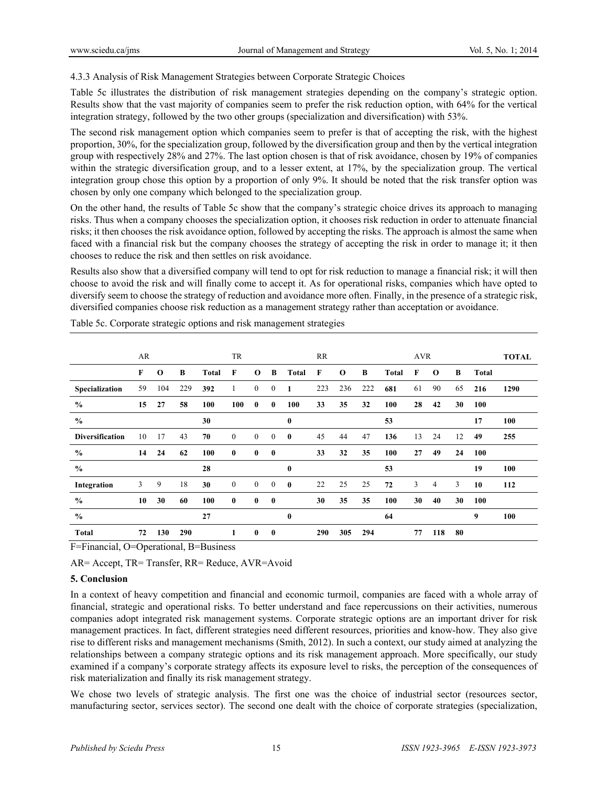## 4.3.3 Analysis of Risk Management Strategies between Corporate Strategic Choices

Table 5c illustrates the distribution of risk management strategies depending on the company's strategic option. Results show that the vast majority of companies seem to prefer the risk reduction option, with 64% for the vertical integration strategy, followed by the two other groups (specialization and diversification) with 53%.

The second risk management option which companies seem to prefer is that of accepting the risk, with the highest proportion, 30%, for the specialization group, followed by the diversification group and then by the vertical integration group with respectively 28% and 27%. The last option chosen is that of risk avoidance, chosen by 19% of companies within the strategic diversification group, and to a lesser extent, at 17%, by the specialization group. The vertical integration group chose this option by a proportion of only 9%. It should be noted that the risk transfer option was chosen by only one company which belonged to the specialization group.

On the other hand, the results of Table 5c show that the company's strategic choice drives its approach to managing risks. Thus when a company chooses the specialization option, it chooses risk reduction in order to attenuate financial risks; it then chooses the risk avoidance option, followed by accepting the risks. The approach is almost the same when faced with a financial risk but the company chooses the strategy of accepting the risk in order to manage it; it then chooses to reduce the risk and then settles on risk avoidance.

Results also show that a diversified company will tend to opt for risk reduction to manage a financial risk; it will then choose to avoid the risk and will finally come to accept it. As for operational risks, companies which have opted to diversify seem to choose the strategy of reduction and avoidance more often. Finally, in the presence of a strategic risk, diversified companies choose risk reduction as a management strategy rather than acceptation or avoidance.

|                        | AR |          |     |              | TR             |              |                  |              | RR  |          |     |              | <b>AVR</b> |             |    |              | <b>TOTAL</b> |
|------------------------|----|----------|-----|--------------|----------------|--------------|------------------|--------------|-----|----------|-----|--------------|------------|-------------|----|--------------|--------------|
|                        | F  | $\bf{0}$ | B   | <b>Total</b> | F              | $\mathbf 0$  | B                | <b>Total</b> | F   | $\bf{0}$ | B   | <b>Total</b> | F          | $\mathbf 0$ | B  | <b>Total</b> |              |
| Specialization         | 59 | 104      | 229 | 392          |                | $\mathbf{0}$ | $\mathbf{0}$     | 1            | 223 | 236      | 222 | 681          | 61         | 90          | 65 | 216          | 1290         |
| $\frac{6}{6}$          | 15 | 27       | 58  | 100          | 100            | $\bf{0}$     | $\bf{0}$         | 100          | 33  | 35       | 32  | 100          | 28         | 42          | 30 | 100          |              |
| $\frac{6}{6}$          |    |          |     | 30           |                |              |                  | $\bf{0}$     |     |          |     | 53           |            |             |    | 17           | 100          |
| <b>Diversification</b> | 10 | 17       | 43  | 70           | $\overline{0}$ | $\mathbf{0}$ | $\mathbf{0}$     | $\bf{0}$     | 45  | 44       | 47  | 136          | 13         | 24          | 12 | 49           | 255          |
| $\frac{6}{6}$          | 14 | 24       | 62  | 100          | $\bf{0}$       | $\bf{0}$     | $\bf{0}$         |              | 33  | 32       | 35  | 100          | 27         | 49          | 24 | 100          |              |
| $\frac{0}{0}$          |    |          |     | 28           |                |              |                  | $\bf{0}$     |     |          |     | 53           |            |             |    | 19           | 100          |
| Integration            | 3  | 9        | 18  | 30           | $\overline{0}$ | $\mathbf{0}$ | $\mathbf{0}$     | $\bf{0}$     | 22  | 25       | 25  | 72           | 3          | 4           | 3  | 10           | 112          |
| $\frac{6}{6}$          | 10 | 30       | 60  | 100          | $\bf{0}$       | $\bf{0}$     | $\bf{0}$         |              | 30  | 35       | 35  | 100          | 30         | 40          | 30 | 100          |              |
| $\frac{0}{0}$          |    |          |     | 27           |                |              |                  | $\bf{0}$     |     |          |     | 64           |            |             |    | 9            | 100          |
| <b>Total</b>           | 72 | 130      | 290 |              |                | $\bf{0}$     | $\boldsymbol{0}$ |              | 290 | 305      | 294 |              | 77         | 118         | 80 |              |              |

Table 5c. Corporate strategic options and risk management strategies

F=Financial, O=Operational, B=Business

AR= Accept, TR= Transfer, RR= Reduce, AVR=Avoid

## **5. Conclusion**

In a context of heavy competition and financial and economic turmoil, companies are faced with a whole array of financial, strategic and operational risks. To better understand and face repercussions on their activities, numerous companies adopt integrated risk management systems. Corporate strategic options are an important driver for risk management practices. In fact, different strategies need different resources, priorities and know-how. They also give rise to different risks and management mechanisms (Smith, 2012). In such a context, our study aimed at analyzing the relationships between a company strategic options and its risk management approach. More specifically, our study examined if a company's corporate strategy affects its exposure level to risks, the perception of the consequences of risk materialization and finally its risk management strategy.

We chose two levels of strategic analysis. The first one was the choice of industrial sector (resources sector, manufacturing sector, services sector). The second one dealt with the choice of corporate strategies (specialization,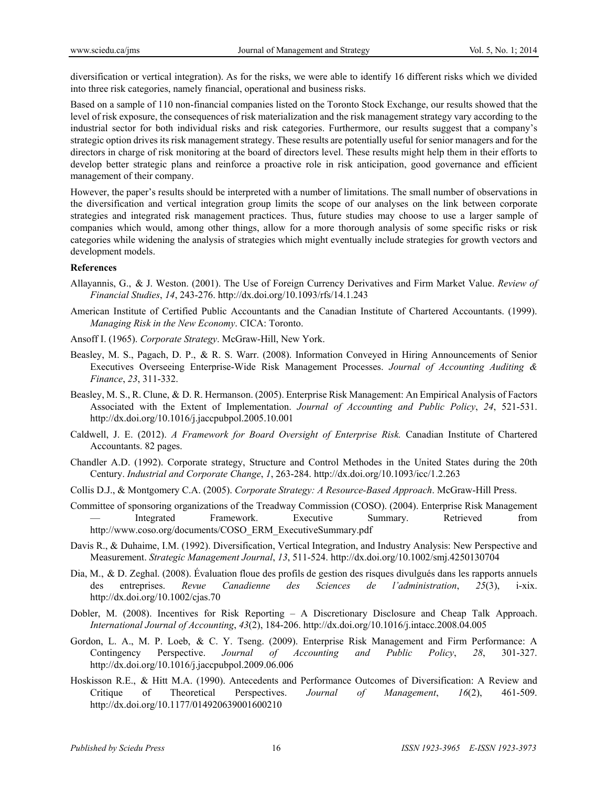diversification or vertical integration). As for the risks, we were able to identify 16 different risks which we divided into three risk categories, namely financial, operational and business risks.

Based on a sample of 110 non-financial companies listed on the Toronto Stock Exchange, our results showed that the level of risk exposure, the consequences of risk materialization and the risk management strategy vary according to the industrial sector for both individual risks and risk categories. Furthermore, our results suggest that a company's strategic option drives its risk management strategy. These results are potentially useful for senior managers and for the directors in charge of risk monitoring at the board of directors level. These results might help them in their efforts to develop better strategic plans and reinforce a proactive role in risk anticipation, good governance and efficient management of their company.

However, the paper's results should be interpreted with a number of limitations. The small number of observations in the diversification and vertical integration group limits the scope of our analyses on the link between corporate strategies and integrated risk management practices. Thus, future studies may choose to use a larger sample of companies which would, among other things, allow for a more thorough analysis of some specific risks or risk categories while widening the analysis of strategies which might eventually include strategies for growth vectors and development models.

## **References**

- Allayannis, G., & J. Weston. (2001). The Use of Foreign Currency Derivatives and Firm Market Value. *Review of Financial Studies*, *14*, 243-276. http://dx.doi.org/10.1093/rfs/14.1.243
- American Institute of Certified Public Accountants and the Canadian Institute of Chartered Accountants. (1999). *Managing Risk in the New Economy*. CICA: Toronto.
- Ansoff I. (1965). *Corporate Strategy*. McGraw-Hill, New York.
- Beasley, M. S., Pagach, D. P., & R. S. Warr. (2008). Information Conveyed in Hiring Announcements of Senior Executives Overseeing Enterprise-Wide Risk Management Processes. *Journal of Accounting Auditing & Finance*, *23*, 311-332.
- Beasley, M. S., R. Clune, & D. R. Hermanson. (2005). Enterprise Risk Management: An Empirical Analysis of Factors Associated with the Extent of Implementation. *Journal of Accounting and Public Policy*, *24*, 521-531. http://dx.doi.org/10.1016/j.jaccpubpol.2005.10.001
- Caldwell, J. E. (2012). *A Framework for Board Oversight of Enterprise Risk.* Canadian Institute of Chartered Accountants. 82 pages.
- Chandler A.D. (1992). Corporate strategy, Structure and Control Methodes in the United States during the 20th Century. *Industrial and Corporate Change*, *1*, 263-284. http://dx.doi.org/10.1093/icc/1.2.263
- Collis D.J., & Montgomery C.A. (2005). *Corporate Strategy: A Resource-Based Approach*. McGraw-Hill Press.
- Committee of sponsoring organizations of the Treadway Commission (COSO). (2004). Enterprise Risk Management — Integrated Framework. Executive Summary. Retrieved from http://www.coso.org/documents/COSO\_ERM\_ExecutiveSummary.pdf
- Davis R., & Duhaime, I.M. (1992). Diversification, Vertical Integration, and Industry Analysis: New Perspective and Measurement. *Strategic Management Journal*, *13*, 511-524. http://dx.doi.org/10.1002/smj.4250130704
- Dia, M., & D. Zeghal. (2008). Évaluation floue des profils de gestion des risques divulgués dans les rapports annuels des entreprises. *Revue Canadienne des Sciences de l'administration*, *25*(3), i-xix. http://dx.doi.org/10.1002/cjas.70
- Dobler, M. (2008). Incentives for Risk Reporting A Discretionary Disclosure and Cheap Talk Approach. *International Journal of Accounting*, *43*(2), 184-206. http://dx.doi.org/10.1016/j.intacc.2008.04.005
- Gordon, L. A., M. P. Loeb, & C. Y. Tseng. (2009). Enterprise Risk Management and Firm Performance: A Contingency Perspective. *Journal of Accounting and Public Policy*, *28*, 301-327. http://dx.doi.org/10.1016/j.jaccpubpol.2009.06.006
- Hoskisson R.E., & Hitt M.A. (1990). Antecedents and Performance Outcomes of Diversification: A Review and Critique of Theoretical Perspectives. *Journal of Management*, *16*(2), 461-509. http://dx.doi.org/10.1177/014920639001600210